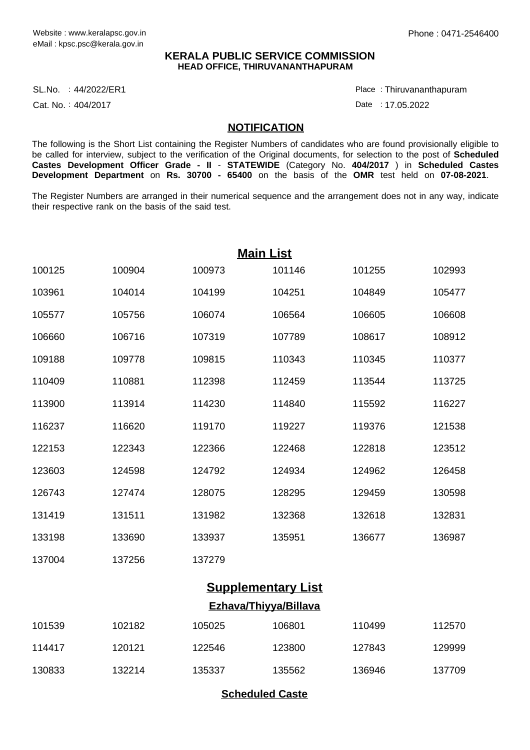## **KERALA PUBLIC SERVICE COMMISSION HEAD OFFICE, THIRUVANANTHAPURAM**

SL.No. :44/2022/ER1 Place

Cat. No.: 404/2017

Thiruvananthapuram :

Date : 17.05.2022

## **NOTIFICATION**

The following is the Short List containing the Register Numbers of candidates who are found provisionally eligible to be called for interview, subject to the verification of the Original documents, for selection to the post of **Scheduled Castes Development Officer Grade - II** - **STATEWIDE** (Category No. **404/2017** ) in **Scheduled Castes Development Department** on **Rs. 30700 - 65400** on the basis of the **OMR** test held on **07-08-2021**.

The Register Numbers are arranged in their numerical sequence and the arrangement does not in any way, indicate their respective rank on the basis of the said test.

| <b>Main List</b> |        |        |        |        |        |  |  |  |
|------------------|--------|--------|--------|--------|--------|--|--|--|
| 100125           | 100904 | 100973 | 101146 | 101255 | 102993 |  |  |  |
| 103961           | 104014 | 104199 | 104251 | 104849 | 105477 |  |  |  |
| 105577           | 105756 | 106074 | 106564 | 106605 | 106608 |  |  |  |
| 106660           | 106716 | 107319 | 107789 | 108617 | 108912 |  |  |  |
| 109188           | 109778 | 109815 | 110343 | 110345 | 110377 |  |  |  |
| 110409           | 110881 | 112398 | 112459 | 113544 | 113725 |  |  |  |
| 113900           | 113914 | 114230 | 114840 | 115592 | 116227 |  |  |  |
| 116237           | 116620 | 119170 | 119227 | 119376 | 121538 |  |  |  |
| 122153           | 122343 | 122366 | 122468 | 122818 | 123512 |  |  |  |
| 123603           | 124598 | 124792 | 124934 | 124962 | 126458 |  |  |  |
| 126743           | 127474 | 128075 | 128295 | 129459 | 130598 |  |  |  |
| 131419           | 131511 | 131982 | 132368 | 132618 | 132831 |  |  |  |
| 133198           | 133690 | 133937 | 135951 | 136677 | 136987 |  |  |  |
| 137004           | 137256 | 137279 |        |        |        |  |  |  |
|                  |        |        |        |        |        |  |  |  |

## **Supplementary List Ezhava/Thiyya/Billava**

| 101539 | 102182 | 105025 | 106801 | 110499 | 112570 |
|--------|--------|--------|--------|--------|--------|
| 114417 | 120121 | 122546 | 123800 | 127843 | 129999 |
| 130833 | 132214 | 135337 | 135562 | 136946 | 137709 |

**Scheduled Caste**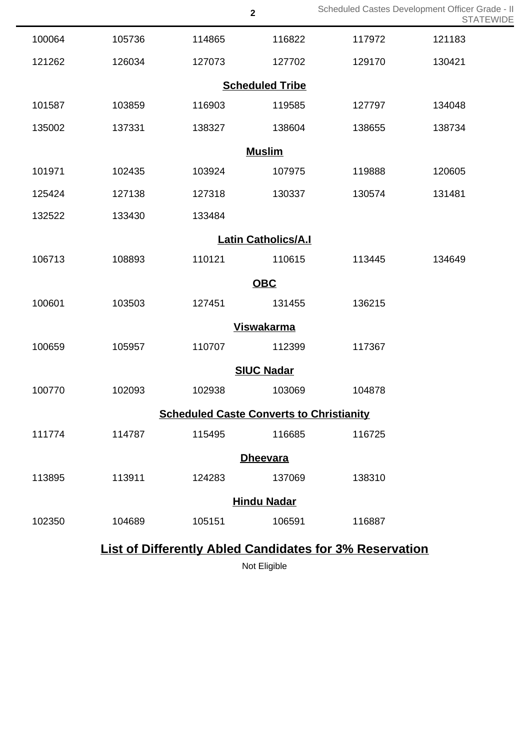|                                                 |                            |        | $\overline{\mathbf{2}}$ | Scheduled Castes Development Officer Grade - II                | <b>STATEWIDE</b> |  |  |
|-------------------------------------------------|----------------------------|--------|-------------------------|----------------------------------------------------------------|------------------|--|--|
| 100064                                          | 105736                     | 114865 | 116822                  | 117972                                                         | 121183           |  |  |
| 121262                                          | 126034                     | 127073 | 127702                  | 129170                                                         | 130421           |  |  |
| <b>Scheduled Tribe</b>                          |                            |        |                         |                                                                |                  |  |  |
| 101587                                          | 103859                     | 116903 | 119585                  | 127797                                                         | 134048           |  |  |
| 135002                                          | 137331                     | 138327 | 138604                  | 138655                                                         | 138734           |  |  |
| <b>Muslim</b>                                   |                            |        |                         |                                                                |                  |  |  |
| 101971                                          | 102435                     | 103924 | 107975                  | 119888                                                         | 120605           |  |  |
| 125424                                          | 127138                     | 127318 | 130337                  | 130574                                                         | 131481           |  |  |
| 132522                                          | 133430                     | 133484 |                         |                                                                |                  |  |  |
|                                                 | <b>Latin Catholics/A.I</b> |        |                         |                                                                |                  |  |  |
| 106713                                          | 108893                     | 110121 | 110615                  | 113445                                                         | 134649           |  |  |
|                                                 | <b>OBC</b>                 |        |                         |                                                                |                  |  |  |
| 100601                                          | 103503                     | 127451 | 131455                  | 136215                                                         |                  |  |  |
| <b>Viswakarma</b>                               |                            |        |                         |                                                                |                  |  |  |
| 100659                                          | 105957                     | 110707 | 112399                  | 117367                                                         |                  |  |  |
| <b>SIUC Nadar</b>                               |                            |        |                         |                                                                |                  |  |  |
| 100770                                          | 102093                     | 102938 | 103069                  | 104878                                                         |                  |  |  |
| <b>Scheduled Caste Converts to Christianity</b> |                            |        |                         |                                                                |                  |  |  |
| 111774                                          | 114787                     | 115495 | 116685                  | 116725                                                         |                  |  |  |
| <b>Dheevara</b>                                 |                            |        |                         |                                                                |                  |  |  |
| 113895                                          | 113911                     | 124283 | 137069                  | 138310                                                         |                  |  |  |
| <b>Hindu Nadar</b>                              |                            |        |                         |                                                                |                  |  |  |
| 102350                                          | 104689                     | 105151 | 106591                  | 116887                                                         |                  |  |  |
|                                                 |                            |        |                         | <b>List of Differently Abled Candidates for 3% Reservation</b> |                  |  |  |

Not Eligible